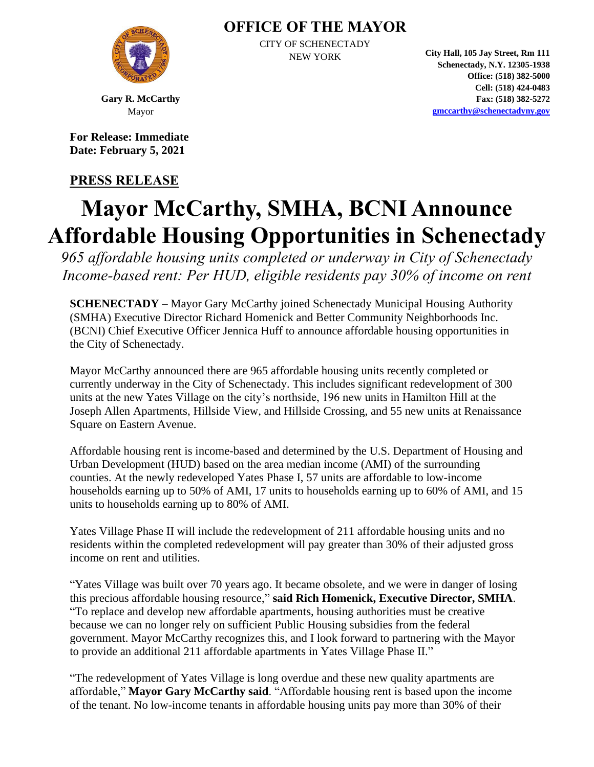

## **OFFICE OF THE MAYOR**

CITY OF SCHENECTADY

NEW YORK **City Hall, 105 Jay Street, Rm 111 Schenectady, N.Y. 12305-1938 Office: (518) 382-5000 Cell: (518) 424-0483 Fax: (518) 382-5272 [gmccarthy@schenectadyny.gov](mailto:gmccarthy@schenectadyny.gov)**

**Gary R. McCarthy** Mayor

**For Release: Immediate Date: February 5, 2021**

## **PRESS RELEASE**

## **Mayor McCarthy, SMHA, BCNI Announce Affordable Housing Opportunities in Schenectady**

*965 affordable housing units completed or underway in City of Schenectady Income-based rent: Per HUD, eligible residents pay 30% of income on rent*

**SCHENECTADY** – Mayor Gary McCarthy joined Schenectady Municipal Housing Authority (SMHA) Executive Director Richard Homenick and Better Community Neighborhoods Inc. (BCNI) Chief Executive Officer Jennica Huff to announce affordable housing opportunities in the City of Schenectady.

Mayor McCarthy announced there are 965 affordable housing units recently completed or currently underway in the City of Schenectady. This includes significant redevelopment of 300 units at the new Yates Village on the city's northside, 196 new units in Hamilton Hill at the Joseph Allen Apartments, Hillside View, and Hillside Crossing, and 55 new units at Renaissance Square on Eastern Avenue.

Affordable housing rent is income-based and determined by the U.S. Department of Housing and Urban Development (HUD) based on the area median income (AMI) of the surrounding counties. At the newly redeveloped Yates Phase I, 57 units are affordable to low-income households earning up to 50% of AMI, 17 units to households earning up to 60% of AMI, and 15 units to households earning up to 80% of AMI.

Yates Village Phase II will include the redevelopment of 211 affordable housing units and no residents within the completed redevelopment will pay greater than 30% of their adjusted gross income on rent and utilities.

"Yates Village was built over 70 years ago. It became obsolete, and we were in danger of losing this precious affordable housing resource," **said Rich Homenick, Executive Director, SMHA**. "To replace and develop new affordable apartments, housing authorities must be creative because we can no longer rely on sufficient Public Housing subsidies from the federal government. Mayor McCarthy recognizes this, and I look forward to partnering with the Mayor to provide an additional 211 affordable apartments in Yates Village Phase II."

"The redevelopment of Yates Village is long overdue and these new quality apartments are affordable," **Mayor Gary McCarthy said**. "Affordable housing rent is based upon the income of the tenant. No low-income tenants in affordable housing units pay more than 30% of their